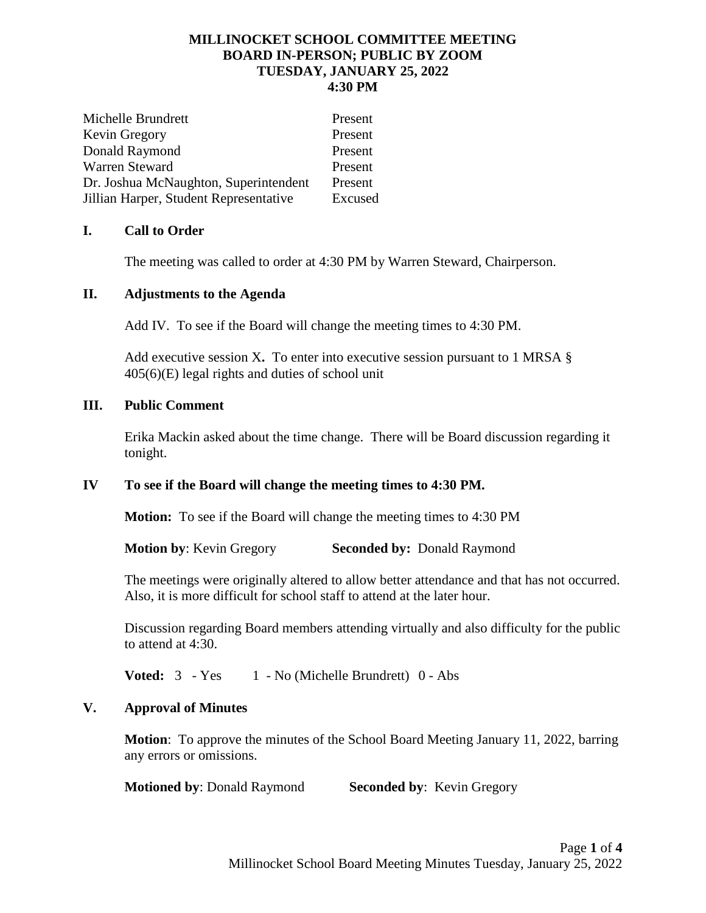### **MILLINOCKET SCHOOL COMMITTEE MEETING BOARD IN-PERSON; PUBLIC BY ZOOM TUESDAY, JANUARY 25, 2022 4:30 PM**

| Michelle Brundrett                     | Present |
|----------------------------------------|---------|
| Kevin Gregory                          | Present |
| Donald Raymond                         | Present |
| Warren Steward                         | Present |
| Dr. Joshua McNaughton, Superintendent  | Present |
| Jillian Harper, Student Representative | Excused |

## **I. Call to Order**

The meeting was called to order at 4:30 PM by Warren Steward, Chairperson.

## **II. Adjustments to the Agenda**

Add IV. To see if the Board will change the meeting times to 4:30 PM.

Add executive session X**.** To enter into executive session pursuant to 1 MRSA § 405(6)(E) legal rights and duties of school unit

## **III. Public Comment**

Erika Mackin asked about the time change. There will be Board discussion regarding it tonight.

# **IV To see if the Board will change the meeting times to 4:30 PM.**

**Motion:** To see if the Board will change the meeting times to 4:30 PM

**Motion by**: Kevin Gregory **Seconded by:** Donald Raymond

The meetings were originally altered to allow better attendance and that has not occurred. Also, it is more difficult for school staff to attend at the later hour.

Discussion regarding Board members attending virtually and also difficulty for the public to attend at 4:30.

**Voted:**  $3 - Yes \t1 - No (Michelle Brundrett) \t0 - Abs$ 

# **V. Approval of Minutes**

**Motion**: To approve the minutes of the School Board Meeting January 11, 2022, barring any errors or omissions.

**Motioned by:** Donald Raymond **Seconded by:** Kevin Gregory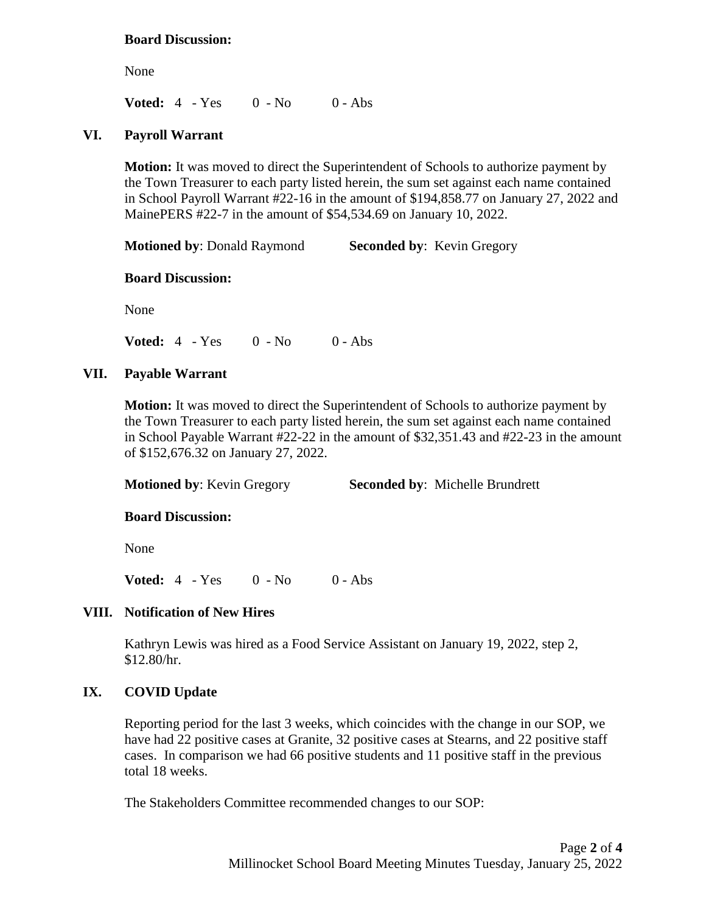#### **Board Discussion:**

None

**Voted:** 4 - Yes 0 - No 0 - Abs

#### **VI. Payroll Warrant**

**Motion:** It was moved to direct the Superintendent of Schools to authorize payment by the Town Treasurer to each party listed herein, the sum set against each name contained in School Payroll Warrant #22-16 in the amount of \$194,858.77 on January 27, 2022 and MainePERS #22-7 in the amount of \$54,534.69 on January 10, 2022.

**Motioned by: Donald Raymond Seconded by: Kevin Gregory** 

#### **Board Discussion:**

None

**Voted:** 4 - Yes 0 - No 0 - Abs

#### **VII. Payable Warrant**

**Motion:** It was moved to direct the Superintendent of Schools to authorize payment by the Town Treasurer to each party listed herein, the sum set against each name contained in School Payable Warrant #22-22 in the amount of \$32,351.43 and #22-23 in the amount of \$152,676.32 on January 27, 2022.

**Motioned by**: Kevin Gregory **Seconded by**: Michelle Brundrett

#### **Board Discussion:**

None

**Voted:** 4 - Yes 0 - No 0 - Abs

#### **VIII. Notification of New Hires**

Kathryn Lewis was hired as a Food Service Assistant on January 19, 2022, step 2, \$12.80/hr.

### **IX. COVID Update**

Reporting period for the last 3 weeks, which coincides with the change in our SOP, we have had 22 positive cases at Granite, 32 positive cases at Stearns, and 22 positive staff cases. In comparison we had 66 positive students and 11 positive staff in the previous total 18 weeks.

The Stakeholders Committee recommended changes to our SOP: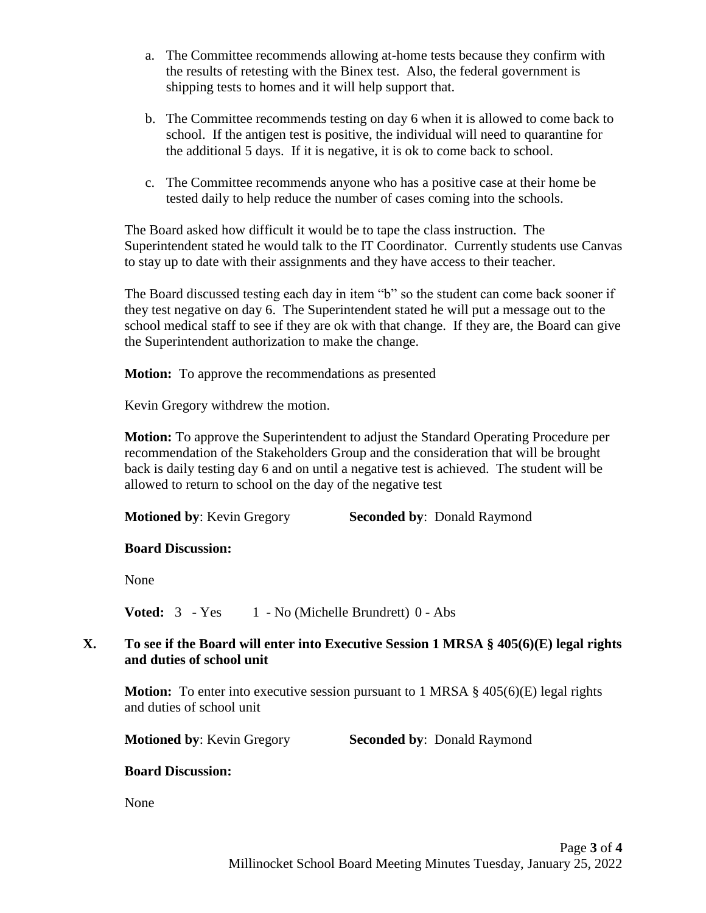- a. The Committee recommends allowing at-home tests because they confirm with the results of retesting with the Binex test. Also, the federal government is shipping tests to homes and it will help support that.
- b. The Committee recommends testing on day 6 when it is allowed to come back to school. If the antigen test is positive, the individual will need to quarantine for the additional 5 days. If it is negative, it is ok to come back to school.
- c. The Committee recommends anyone who has a positive case at their home be tested daily to help reduce the number of cases coming into the schools.

The Board asked how difficult it would be to tape the class instruction. The Superintendent stated he would talk to the IT Coordinator. Currently students use Canvas to stay up to date with their assignments and they have access to their teacher.

The Board discussed testing each day in item "b" so the student can come back sooner if they test negative on day 6. The Superintendent stated he will put a message out to the school medical staff to see if they are ok with that change. If they are, the Board can give the Superintendent authorization to make the change.

**Motion:** To approve the recommendations as presented

Kevin Gregory withdrew the motion.

**Motion:** To approve the Superintendent to adjust the Standard Operating Procedure per recommendation of the Stakeholders Group and the consideration that will be brought back is daily testing day 6 and on until a negative test is achieved. The student will be allowed to return to school on the day of the negative test

**Motioned by**: Kevin Gregory **Seconded by**: Donald Raymond

# **Board Discussion:**

None

**Voted:**  $3 - Yes \t1 - No (Michelle Brundrett) 0 - Abs$ 

# **X. To see if the Board will enter into Executive Session 1 MRSA § 405(6)(E) legal rights and duties of school unit**

**Motion:** To enter into executive session pursuant to 1 MRSA § 405(6)(E) legal rights and duties of school unit

**Motioned by: Kevin Gregory Seconded by: Donald Raymond** 

# **Board Discussion:**

None